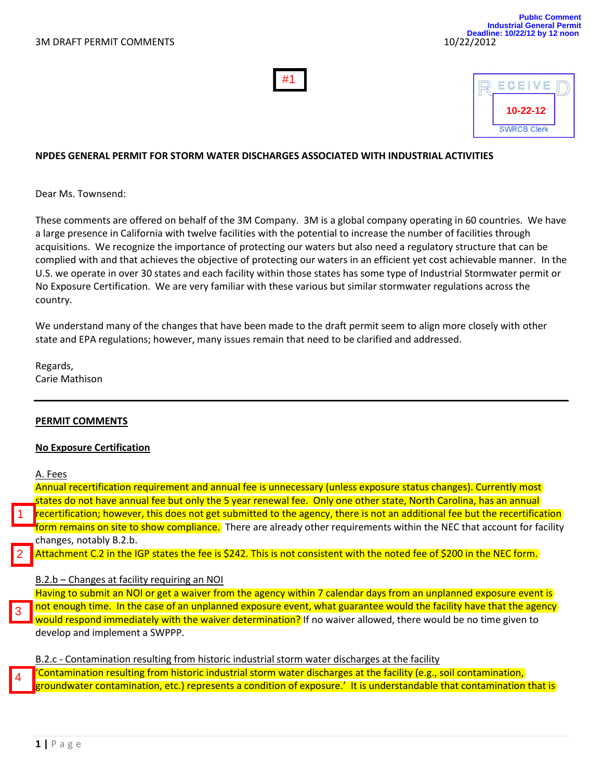



#### **NPDES GENERAL PERMIT FOR STORM WATER DISCHARGES ASSOCIATED WITH INDUSTRIAL ACTIVITIES**

Dear Ms. Townsend:

These comments are offered on behalf of the 3M Company. 3M is a global company operating in 60 countries. We have a large presence in California with twelve facilities with the potential to increase the number of facilities through acquisitions. We recognize the importance of protecting our waters but also need a regulatory structure that can be complied with and that achieves the objective of protecting our waters in an efficient yet cost achievable manner. In the U.S. we operate in over 30 states and each facility within those states has some type of Industrial Stormwater permit or No Exposure Certification. We are very familiar with these various but similar stormwater regulations across the country.

We understand many of the changes that have been made to the draft permit seem to align more closely with other state and EPA regulations; however, many issues remain that need to be clarified and addressed.

Regards, Carie Mathison

#### **PERMIT COMMENTS**

#### **No Exposure Certification**

A. Fees

1

2

Annual recertification requirement and annual fee is unnecessary (unless exposure status changes). Currently most states do not have annual fee but only the 5 year renewal fee. Only one other state, North Carolina, has an annual recertification; however, this does not get submitted to the agency, there is not an additional fee but the recertification form remains on site to show compliance. There are already other requirements within the NEC that account for facility changes, notably B.2.b.

Attachment C.2 in the IGP states the fee is \$242. This is not consistent with the noted fee of \$200 in the NEC form.

#### B.2.b – Changes at facility requiring an NOI

Having to submit an NOI or get a waiver from the agency within 7 calendar days from an unplanned exposure event is not enough time. In the case of an unplanned exposure event, what guarantee would the facility have that the agency would respond immediately with the waiver determination? If no waiver allowed, there would be no time given to develop and implement a SWPPP. 3

B.2.c - Contamination resulting from historic industrial storm water discharges at the facility

'Contamination resulting from historic industrial storm water discharges at the facility (e.g., soil contamination, groundwater contamination, etc.) represents a condition of exposure.' It is understandable that contamination that is 4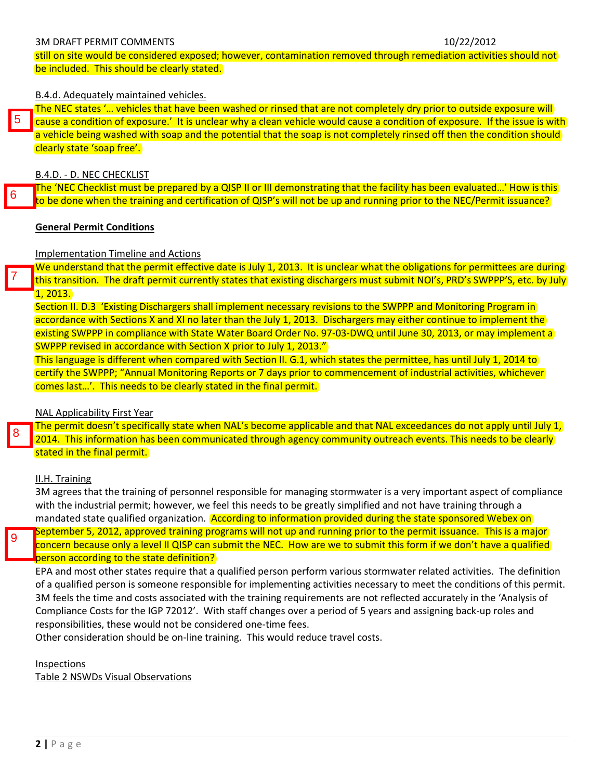#### 3M DRAFT PERMIT COMMENTS 10/22/2012

still on site would be considered exposed; however, contamination removed through remediation activities should not be included. This should be clearly stated.

### B.4.d. Adequately maintained vehicles.

The NEC states '... vehicles that have been washed or rinsed that are not completely dry prior to outside exposure will cause a condition of exposure.' It is unclear why a clean vehicle would cause a condition of exposure. If the issue is with a vehicle being washed with soap and the potential that the soap is not completely rinsed off then the condition should clearly state 'soap free'. 5

B.4.D. - D. NEC CHECKLIST

The 'NEC Checklist must be prepared by a QISP II or III demonstrating that the facility has been evaluated…' How is this to be done when the training and certification of QISP's will not be up and running prior to the NEC/Permit issuance? 6

## **General Permit Conditions**

## Implementation Timeline and Actions

We understand that the permit effective date is July 1, 2013. It is unclear what the obligations for permittees are during this transition. The draft permit currently states that existing dischargers must submit NOI's, PRD's SWPPP'S, etc. by July 1, 2013.

Section II. D.3 'Existing Dischargers shall implement necessary revisions to the SWPPP and Monitoring Program in accordance with Sections X and XI no later than the July 1, 2013. Dischargers may either continue to implement the existing SWPPP in compliance with State Water Board Order No. 97-03-DWQ until June 30, 2013, or may implement a SWPPP revised in accordance with Section X prior to July 1, 2013."

This language is different when compared with Section II. G.1, which states the permittee, has until July 1, 2014 to certify the SWPPP; "Annual Monitoring Reports or 7 days prior to commencement of industrial activities, whichever comes last…'. This needs to be clearly stated in the final permit.

## NAL Applicability First Year

The permit doesn't specifically state when NAL's become applicable and that NAL exceedances do not apply until July 1, 2014. This information has been communicated through agency community outreach events. This needs to be clearly stated in the final permit.

## II.H. Training

7

8

9

3M agrees that the training of personnel responsible for managing stormwater is a very important aspect of compliance with the industrial permit; however, we feel this needs to be greatly simplified and not have training through a mandated state qualified organization. According to information provided during the state sponsored Webex on September 5, 2012, approved training programs will not up and running prior to the permit issuance. This is a major concern because only a level II QISP can submit the NEC. How are we to submit this form if we don't have a qualified

# person according to the state definition?

EPA and most other states require that a qualified person perform various stormwater related activities. The definition of a qualified person is someone responsible for implementing activities necessary to meet the conditions of this permit. 3M feels the time and costs associated with the training requirements are not reflected accurately in the 'Analysis of Compliance Costs for the IGP 72012'. With staff changes over a period of 5 years and assigning back-up roles and responsibilities, these would not be considered one-time fees.

Other consideration should be on-line training. This would reduce travel costs.

## Inspections

Table 2 NSWDs Visual Observations